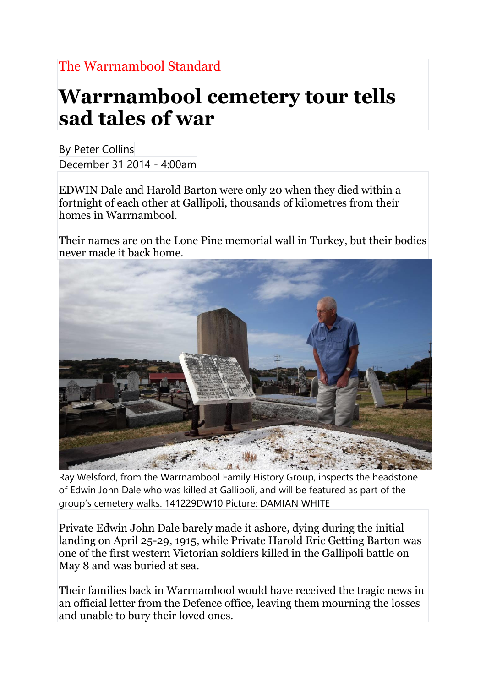## **Warrnambool cemetery tour tells sad tales of war**

By Peter Collins December 31 2014 - 4:00am

EDWIN Dale and Harold Barton were only 20 when they died within a fortnight of each other at Gallipoli, thousands of kilometres from their homes in Warrnambool.

Their names are on the Lone Pine memorial wall in Turkey, but their bodies never made it back home.



Ray Welsford, from the Warrnambool Family History Group, inspects the headstone of Edwin John Dale who was killed at Gallipoli, and will be featured as part of the group's cemetery walks. 141229DW10 Picture: DAMIAN WHITE

Private Edwin John Dale barely made it ashore, dying during the initial landing on April 25-29, 1915, while Private Harold Eric Getting Barton was one of the first western Victorian soldiers killed in the Gallipoli battle on May 8 and was buried at sea.

Their families back in Warrnambool would have received the tragic news in an official letter from the Defence office, leaving them mourning the losses and unable to bury their loved ones.